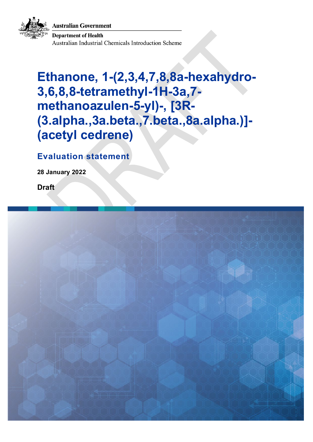**Australian Government** 



**Department of Health Australian Industrial Chemicals Introduction Scheme** 

# **Ethanone, 1-(2,3,4,7,8,8a-hexahydro-3,6,8,8-tetramethyl-1H-3a,7 methanoazulen-5-yl)-, [3R- (3.alpha.,3a.beta.,7.beta.,8a.alpha.)]- (acetyl cedrene)**

**Evaluation statement**

**28 January 2022**

**Draft**

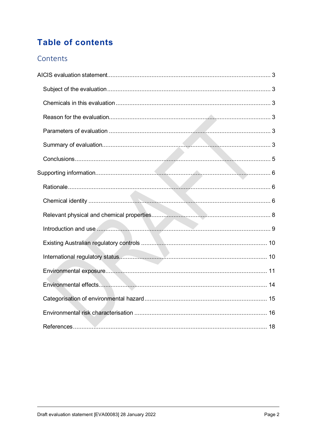# **Table of contents**

### Contents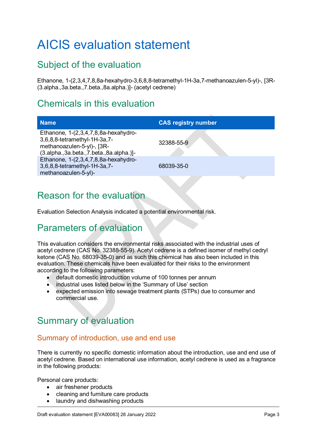# <span id="page-2-0"></span>AICIS evaluation statement

# <span id="page-2-1"></span>Subject of the evaluation

Ethanone, 1-(2,3,4,7,8,8a-hexahydro-3,6,8,8-tetramethyl-1H-3a,7-methanoazulen-5-yl)-, [3R- (3.alpha.,3a.beta.,7.beta.,8a.alpha.)]- (acetyl cedrene)

## <span id="page-2-2"></span>Chemicals in this evaluation

| <b>Name</b>                                                                                                                                   | <b>CAS registry number</b> |
|-----------------------------------------------------------------------------------------------------------------------------------------------|----------------------------|
| Ethanone, 1-(2,3,4,7,8,8a-hexahydro-<br>3,6,8,8-tetramethyl-1H-3a,7-<br>methanoazulen-5-yl)-, [3R-<br>$(3.alpha.3a.beta.7.beta.8a.alpha.)$ ]- | 32388-55-9                 |
| Ethanone, 1-(2,3,4,7,8,8a-hexahydro-<br>3,6,8,8-tetramethyl-1H-3a,7-<br>methanoazulen-5-yl)-                                                  | 68039-35-0                 |
|                                                                                                                                               |                            |

# <span id="page-2-3"></span>Reason for the evaluation

Evaluation Selection Analysis indicated a potential environmental risk.

## <span id="page-2-4"></span>Parameters of evaluation

This evaluation considers the environmental risks associated with the industrial uses of acetyl cedrene (CAS No. 32388-55-9). Acetyl cedrene is a defined isomer of methyl cedryl ketone (CAS No. 68039-35-0) and as such this chemical has also been included in this evaluation. These chemicals have been evaluated for their risks to the environment according to the following parameters:

- default domestic introduction volume of 100 tonnes per annum
- industrial uses listed below in the 'Summary of Use' section
- expected emission into sewage treatment plants (STPs) due to consumer and commercial use.

# <span id="page-2-5"></span>Summary of evaluation

#### Summary of introduction, use and end use

There is currently no specific domestic information about the introduction, use and end use of acetyl cedrene. Based on international use information, acetyl cedrene is used as a fragrance in the following products:

Personal care products:

- air freshener products
- cleaning and furniture care products
- laundry and dishwashing products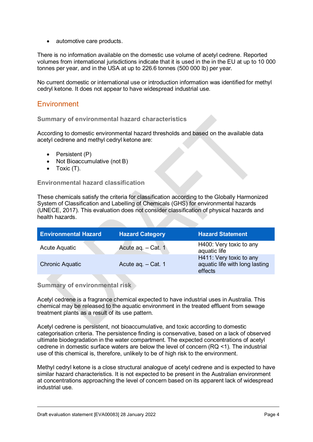• automotive care products.

There is no information available on the domestic use volume of acetyl cedrene. Reported volumes from international jurisdictions indicate that it is used in the in the EU at up to 10 000 tonnes per year, and in the USA at up to 226.6 tonnes (500 000 lb) per year.

No current domestic or international use or introduction information was identified for methyl cedryl ketone. It does not appear to have widespread industrial use.

#### **Environment**

#### **Summary of environmental hazard characteristics**

According to domestic environmental hazard thresholds and based on the available data acetyl cedrene and methyl cedryl ketone are:

- Persistent (P)
- Not Bioaccumulative (not B)
- Toxic (T).

#### **Environmental hazard classification**

These chemicals satisfy the criteria for classification according to the Globally Harmonized System of Classification and Labelling of Chemicals (GHS) for environmental hazards [\(UNECE, 2017\)](#page-19-0). This evaluation does not consider classification of physical hazards and health hazards.

| <b>Environmental Hazard</b> | <b>Hazard Category</b> | <b>Hazard Statement</b>                                              |
|-----------------------------|------------------------|----------------------------------------------------------------------|
| Acute Aquatic               | Acute aq. - Cat. 1     | H400: Very toxic to any<br>aquatic life                              |
| <b>Chronic Aquatic</b>      | Acute ag. - Cat. 1     | H411: Very toxic to any<br>aquatic life with long lasting<br>effects |

**Summary of environmental risk**

Acetyl cedrene is a fragrance chemical expected to have industrial uses in Australia. This chemical may be released to the aquatic environment in the treated effluent from sewage treatment plants as a result of its use pattern.

Acetyl cedrene is persistent, not bioaccumulative, and toxic according to domestic categorisation criteria. The persistence finding is conservative, based on a lack of observed ultimate biodegradation in the water compartment. The expected concentrations of acetyl cedrene in domestic surface waters are below the level of concern (RQ <1). The industrial use of this chemical is, therefore, unlikely to be of high risk to the environment.

Methyl cedryl ketone is a close structural analogue of acetyl cedrene and is expected to have similar hazard characteristics. It is not expected to be present in the Australian environment at concentrations approaching the level of concern based on its apparent lack of widespread industrial use.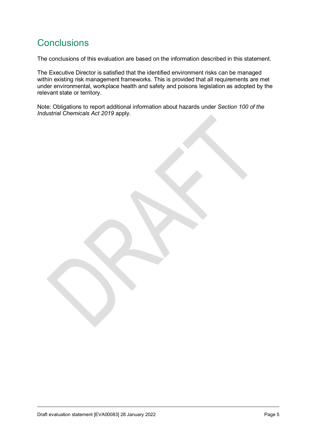# <span id="page-4-0"></span>**Conclusions**

The conclusions of this evaluation are based on the information described in this statement.

The Executive Director is satisfied that the identified environment risks can be managed within existing risk management frameworks. This is provided that all requirements are met under environmental, workplace health and safety and poisons legislation as adopted by the relevant state or territory.

Note: Obligations to report additional information about hazards under *Section 100 of the Industrial Chemicals Act 2019* apply.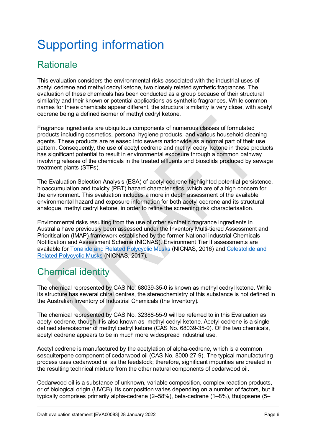# <span id="page-5-0"></span>Supporting information

# <span id="page-5-1"></span>**Rationale**

This evaluation considers the environmental risks associated with the industrial uses of acetyl cedrene and methyl cedryl ketone, two closely related synthetic fragrances. The evaluation of these chemicals has been conducted as a group because of their structural similarity and their known or potential applications as synthetic fragrances. While common names for these chemicals appear different, the structural similarity is very close, with acetyl cedrene being a defined isomer of methyl cedryl ketone.

Fragrance ingredients are ubiquitous components of numerous classes of formulated products including cosmetics, personal hygiene products, and various household cleaning agents. These products are released into sewers nationwide as a normal part of their use pattern. Consequently, the use of acetyl cedrene and methyl cedryl ketone in these products has significant potential to result in environmental exposure through a common pathway involving release of the chemicals in the treated effluents and biosolids produced by sewage treatment plants (STPs).

The Evaluation Selection Analysis (ESA) of acetyl cedrene highlighted potential persistence, bioaccumulation and toxicity (PBT) hazard characteristics, which are of a high concern for the environment. This evaluation includes a more in depth assessment of the available environmental hazard and exposure information for both acetyl cedrene and its structural analogue, methyl cedryl ketone, in order to refine the screening risk characterisation.

Environmental risks resulting from the use of other synthetic fragrance ingredients in Australia have previously been assessed under the Inventory Multi-tiered Assessment and Prioritisation (IMAP) framework established by the former National industrial Chemicals Notification and Assessment Scheme (NICNAS). Environment Tier II assessments are available for [Tonalide and Related](https://www.industrialchemicals.gov.au/sites/default/files/Tonalide%20and%20related%20polycyclic%20musks_%20Environment%20tier%20II%20assessment.pdf) Polycyclic Musks [\(NICNAS, 2016\)](#page-18-0) and [Celestolide and](https://www.industrialchemicals.gov.au/sites/default/files/Celestolide%20and%20related%20polycyclic%20musks_%20Environment%20tier%20II%20assessment.pdf)  [Related Polycyclic Musks](https://www.industrialchemicals.gov.au/sites/default/files/Celestolide%20and%20related%20polycyclic%20musks_%20Environment%20tier%20II%20assessment.pdf) [\(NICNAS, 2017\)](#page-18-1).

# <span id="page-5-2"></span>Chemical identity

The chemical represented by CAS No. 68039-35-0 is known as methyl cedryl ketone. While its structure has several chiral centres, the stereochemistry of this substance is not defined in the Australian Inventory of Industrial Chemicals (the Inventory).

The chemical represented by CAS No. 32388-55-9 will be referred to in this Evaluation as acetyl cedrene, though it is also known as methyl cedryl ketone. Acetyl cedrene is a single defined stereoisomer of methyl cedryl ketone (CAS No. 68039-35-0). Of the two chemicals, acetyl cedrene appears to be in much more widespread industrial use.

Acetyl cedrene is manufactured by the acetylation of alpha-cedrene, which is a common sesquiterpene component of cedarwood oil (CAS No. 8000-27-9). The typical manufacturing process uses cedarwood oil as the feedstock; therefore, significant impurities are created in the resulting technical mixture from the other natural components of cedarwood oil.

Cedarwood oil is a substance of unknown, variable composition, complex reaction products, or of biological origin (UVCB). Its composition varies depending on a number of factors, but it typically comprises primarily alpha-cedrene (2–58%), beta-cedrene (1–8%), thujopsene (5–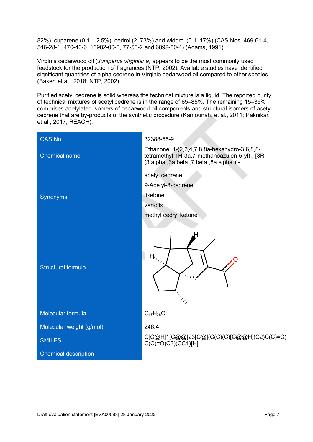82%), cuparene (0.1–12.5%), cedrol (2–73%) and widdrol (0.1–17%) (CAS Nos. 469-61-4, 546-28-1, 470-40-6, 16982-00-6, 77-53-2 and 6892-80-4) [\(Adams, 1991\)](#page-17-1).

Virginia cedarwood oil (*Juniperus virginiana)* appears to be the most commonly used feedstock for the production of fragrances [\(NTP, 2002\)](#page-18-2). Available studies have identified significant quantities of alpha cedrene in Virginia cedarwood oil compared to other species [\(Baker, et al., 2018;](#page-17-2) [NTP, 2002\)](#page-18-2).

Purified acetyl cedrene is solid whereas the technical mixture is a liquid. The reported purity of technical mixtures of acetyl cedrene is in the range of 65–85%. The remaining 15–35% comprises acetylated isomers of cedarwood oil components and structural isomers of acetyl cedrene that are by-products of the synthetic procedure [\(Kamounah, et al., 2011;](#page-18-3) [Paknikar,](#page-18-4)  [et al., 2017;](#page-18-4) [REACH\)](#page-18-5).

| CAS No.                     | 32388-55-9                                                                                                                                    |
|-----------------------------|-----------------------------------------------------------------------------------------------------------------------------------------------|
| <b>Chemical name</b>        | Ethanone, 1-(2,3,4,7,8,8a-hexahydro-3,6,8,8-<br>tetramethyl-1H-3a, 7-methanoazulen-5-yl)-, [3R-<br>(3.alpha., 3a.beta., 7.beta., 8a.alpha.)]- |
|                             | acetyl cedrene                                                                                                                                |
|                             | 9-Acetyl-8-cedrene                                                                                                                            |
| <b>Synonyms</b>             | lixetone                                                                                                                                      |
|                             | vertofix                                                                                                                                      |
|                             | methyl cedryl ketone                                                                                                                          |
| <b>Structural formula</b>   | $\mathsf{H}_{\mathsf{z}_\mathsf{z}}$                                                                                                          |
| Molecular formula           | $C_{17}H_{26}O$                                                                                                                               |
| Molecular weight (g/mol)    | 246.4                                                                                                                                         |
| <b>SMILES</b>               | C[C@H]1[C@@]23[C@](C(C)(C)[C@@H](C2)C(C)=C(<br>$C(C)=O(C3)(CC1)[H]$                                                                           |
| <b>Chemical description</b> |                                                                                                                                               |
|                             |                                                                                                                                               |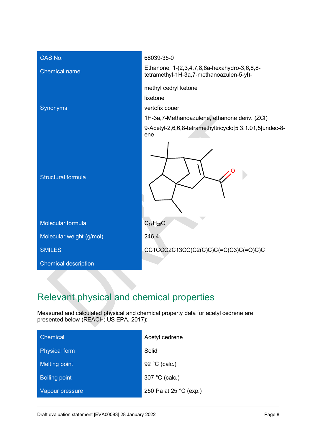

# <span id="page-7-0"></span>Relevant physical and chemical properties

Measured and calculated physical and chemical property data for acetyl cedrene are presented below [\(REACH;](#page-18-5) [US EPA, 2017\)](#page-19-1):

| Chemical             | Acetyl cedrene         |
|----------------------|------------------------|
| <b>Physical form</b> | Solid                  |
| <b>Melting point</b> | 92 °C (calc.)          |
| <b>Boiling point</b> | 307 °C (calc.)         |
| Vapour pressure      | 250 Pa at 25 °C (exp.) |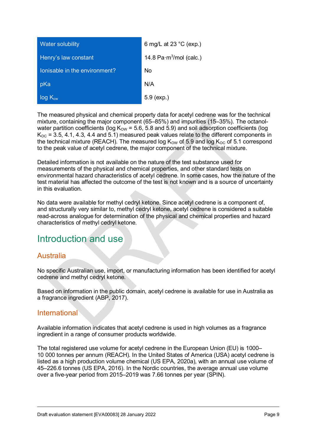| <b>Water solubility</b>       | 6 mg/L at 23 $^{\circ}$ C (exp.) |
|-------------------------------|----------------------------------|
| Henry's law constant          | 14.8 $Pa·m3/mol$ (calc.)         |
| lonisable in the environment? | No                               |
| pKa                           | N/A                              |
| $log K_{ow}$                  | $5.9$ (exp.)                     |

The measured physical and chemical property data for acetyl cedrene was for the technical mixture, containing the major component (65–85%) and impurities (15–35%). The octanolwater partition coefficients (log  $K<sub>OW</sub> = 5.6, 5.8$  and 5.9) and soil adsorption coefficients (log  $K_{OC}$  = 3.5, 4.1, 4.3, 4.4 and 5.1) measured peak values relate to the different components in the technical mixture [\(REACH\)](#page-18-5). The measured log  $K_{\text{OW}}$  of 5.9 and log  $K_{\text{OC}}$  of 5.1 correspond to the peak value of acetyl cedrene, the major component of the technical mixture.

Detailed information is not available on the nature of the test substance used for measurements of the physical and chemical properties, and other standard tests on environmental hazard characteristics of acetyl cedrene. In some cases, how the nature of the test material has affected the outcome of the test is not known and is a source of uncertainty in this evaluation.

No data were available for methyl cedryl ketone. Since acetyl cedrene is a component of, and structurally very similar to, methyl cedryl ketone, acetyl cedrene is considered a suitable read-across analogue for determination of the physical and chemical properties and hazard characteristics of methyl cedryl ketone.

## <span id="page-8-0"></span>Introduction and use

### Australia

No specific Australian use, import, or manufacturing information has been identified for acetyl cedrene and methyl cedryl ketone.

Based on information in the public domain, acetyl cedrene is available for use in Australia as a fragrance ingredient [\(ABP, 2017\)](#page-17-3).

#### **International**

Available information indicates that acetyl cedrene is used in high volumes as a fragrance ingredient in a range of consumer products worldwide.

The total registered use volume for acetyl cedrene in the European Union (EU) is 1000– 10 000 tonnes per annum [\(REACH\)](#page-18-5). In the United States of America (USA) acetyl cedrene is listed as a high production volume chemical [\(US EPA, 2020a\)](#page-19-2), with an annual use volume of 45–226.6 tonnes [\(US EPA, 2016\)](#page-19-3). In the Nordic countries, the average annual use volume over a five-year period from 2015–2019 was 7.66 tonnes per year [\(SPIN\)](#page-19-4).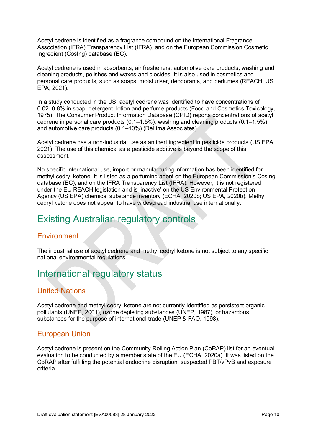Acetyl cedrene is identified as a fragrance compound on the International Fragrance Association (IFRA) Transparency List [\(IFRA\)](#page-17-4), and on the European Commission Cosmetic Ingredient (CosIng) database [\(EC\)](#page-17-5).

Acetyl cedrene is used in absorbents, air fresheners, automotive care products, washing and cleaning products, polishes and waxes and biocides. It is also used in cosmetics and personal care products, such as soaps, moisturiser, deodorants, and perfumes [\(REACH;](#page-18-5) [US](#page-19-5)  [EPA, 2021\)](#page-19-5).

In a study conducted in the US, acetyl cedrene was identified to have concentrations of 0.02–0.8% in soap, detergent, lotion and perfume products [\(Food and Cosmetics Toxicology,](#page-17-6)  [1975\)](#page-17-6). The Consumer Product Information Database (CPID) reports concentrations of acetyl cedrene in personal care products (0.1–1.5%), washing and cleaning products (0.1–1.5%) and automotive care products (0.1–10%) [\(DeLima Associates\)](#page-17-7).

Acetyl cedrene has a non-industrial use as an inert ingredient in pesticide products [\(US EPA,](#page-19-5)  [2021\)](#page-19-5). The use of this chemical as a pesticide additive is beyond the scope of this assessment.

No specific international use, import or manufacturing information has been identified for methyl cedryl ketone. It is listed as a perfuming agent on the European Commission's CosIng database [\(EC\)](#page-17-5), and on the IFRA Transparency List [\(IFRA\)](#page-17-4). However, it is not registered under the EU REACH legislation and is 'inactive' on the US Environmental Protection Agency (US EPA) chemical substance inventory [\(ECHA, 2020b;](#page-17-8) [US EPA, 2020b\)](#page-19-6). Methyl cedryl ketone does not appear to have widespread industrial use internationally.

# <span id="page-9-0"></span>Existing Australian regulatory controls

### **Environment**

The industrial use of acetyl cedrene and methyl cedryl ketone is not subject to any specific national environmental regulations.

# <span id="page-9-1"></span>International regulatory status

### United Nations

Acetyl cedrene and methyl cedryl ketone are not currently identified as persistent organic pollutants [\(UNEP, 2001\)](#page-19-7), ozone depleting substances [\(UNEP, 1987\)](#page-19-8), or hazardous substances for the purpose of international trade [\(UNEP & FAO, 1998\)](#page-19-9).

### European Union

Acetyl cedrene is present on the Community Rolling Action Plan (CoRAP) list for an eventual evaluation to be conducted by a member state of the EU [\(ECHA, 2020a\)](#page-17-9). It was listed on the CoRAP after fulfilling the potential endocrine disruption, suspected PBT/vPvB and exposure criteria.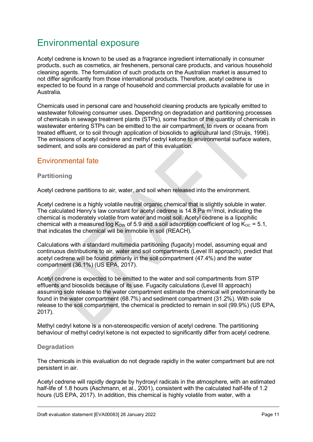# <span id="page-10-0"></span>Environmental exposure

Acetyl cedrene is known to be used as a fragrance ingredient internationally in consumer products, such as cosmetics, air fresheners, personal care products, and various household cleaning agents. The formulation of such products on the Australian market is assumed to not differ significantly from those international products. Therefore, acetyl cedrene is expected to be found in a range of household and commercial products available for use in Australia.

Chemicals used in personal care and household cleaning products are typically emitted to wastewater following consumer uses. Depending on degradation and partitioning processes of chemicals in sewage treatment plants (STPs), some fraction of the quantity of chemicals in wastewater entering STPs can be emitted to the air compartment, to rivers or oceans from treated effluent, or to soil through application of biosolids to agricultural land [\(Struijs, 1996\)](#page-19-10). The emissions of acetyl cedrene and methyl cedryl ketone to environmental surface waters, sediment, and soils are considered as part of this evaluation.

### Environmental fate

#### **Partitioning**

Acetyl cedrene partitions to air, water, and soil when released into the environment.

Acetyl cedrene is a highly volatile neutral organic chemical that is slightly soluble in water. The calculated Henry's law constant for acetyl cedrene is 14.8 Pa·m<sup>3</sup>/mol, indicating the chemical is moderately volatile from water and moist soil. Acetyl cedrene is a lipophilic chemical with a measured log  $K_{\text{OW}}$  of 5.9 and a soil adsorption coefficient of log  $K_{\text{OC}} = 5.1$ , that indicates the chemical will be immobile in soil [\(REACH\)](#page-18-5).

Calculations with a standard multimedia partitioning (fugacity) model, assuming equal and continuous distributions to air, water and soil compartments (Level III approach), predict that acetyl cedrene will be found primarily in the soil compartment (47.4%) and the water compartment (36.1%) [\(US EPA, 2017\)](#page-19-1).

Acetyl cedrene is expected to be emitted to the water and soil compartments from STP effluents and biosolids because of its use. Fugacity calculations (Level III approach) assuming sole release to the water compartment estimate the chemical will predominantly be found in the water compartment (68.7%) and sediment compartment (31.2%). With sole release to the soil compartment, the chemical is predicted to remain in soil (99.9%) [\(US EPA,](#page-19-1)  [2017\)](#page-19-1).

Methyl cedryl ketone is a non-stereospecific version of acetyl cedrene. The partitioning behaviour of methyl cedryl ketone is not expected to significantly differ from acetyl cedrene.

#### **Degradation**

The chemicals in this evaluation do not degrade rapidly in the water compartment but are not persistent in air.

Acetyl cedrene will rapidly degrade by hydroxyl radicals in the atmosphere, with an estimated half-life of 1.8 hours [\(Aschmann, et al., 2001\)](#page-17-10), consistent with the calculated half-life of 1.2 hours [\(US EPA, 2017\)](#page-19-1). In addition, this chemical is highly volatile from water, with a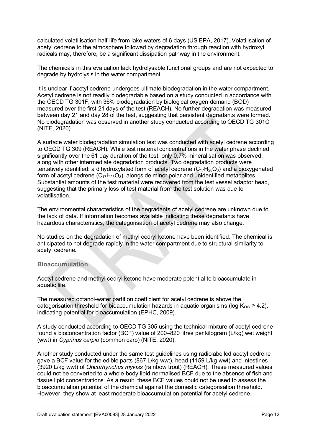calculated volatilisation half-life from lake waters of 6 days [\(US EPA, 2017\)](#page-19-1). Volatilisation of acetyl cedrene to the atmosphere followed by degradation through reaction with hydroxyl radicals may, therefore, be a significant dissipation pathway in the environment.

The chemicals in this evaluation lack hydrolysable functional groups and are not expected to degrade by hydrolysis in the water compartment.

It is unclear if acetyl cedrene undergoes ultimate biodegradation in the water compartment. Acetyl cedrene is not readily biodegradable based on a study conducted in accordance with the OECD TG 301F, with 36% biodegradation by biological oxygen demand (BOD) measured over the first 21 days of the test [\(REACH\)](#page-18-5). No further degradation was measured between day 21 and day 28 of the test, suggesting that persistent degradants were formed. No biodegradation was observed in another study conducted according to OECD TG 301C [\(NITE, 2020\)](#page-18-6).

A surface water biodegradation simulation test was conducted with acetyl cedrene according to OECD TG 309 [\(REACH\)](#page-18-5). While test material concentrations in the water phase declined significantly over the 61 day duration of the test, only 0.7% mineralisation was observed, along with other intermediate degradation products. Two degradation products were tentatively identified: a dihydroxylated form of acetyl cedrene  $(C_{17}H_{28}O_3)$  and a dioxygenated form of acetyl cedrene  $(C_{17}H_{26}O_3)$ , alongside minor polar and unidentified metabolites. Substantial amounts of the test material were recovered from the test vessel adaptor head, suggesting that the primary loss of test material from the test solution was due to volatilisation.

The environmental characteristics of the degradants of acetyl cedrene are unknown due to the lack of data. If information becomes available indicating these degradants have hazardous characteristics, the categorisation of acetyl cedrene may also change.

No studies on the degradation of methyl cedryl ketone have been identified. The chemical is anticipated to not degrade rapidly in the water compartment due to structural similarity to acetyl cedrene.

#### **Bioaccumulation**

Acetyl cedrene and methyl cedryl ketone have moderate potential to bioaccumulate in aquatic life.

The measured octanol-water partition coefficient for acetyl cedrene is above the categorisation threshold for bioaccumulation hazards in aquatic organisms (log  $K_{OW} \geq 4.2$ ), indicating potential for bioaccumulation [\(EPHC, 2009\)](#page-17-11).

A study conducted according to OECD TG 305 using the technical mixture of acetyl cedrene found a bioconcentration factor (BCF) value of 200–820 litres per kilogram (L/kg) wet weight (wwt) in *Cyprinus carpio* (common carp) [\(NITE, 2020\)](#page-18-6).

Another study conducted under the same test guidelines using radiolabelled acetyl cedrene gave a BCF value for the edible parts (867 L/kg wwt), head (1159 L/kg wwt) and intestines (3920 L/kg wwt) of *Oncorhynchus mykiss* (rainbow trout) [\(REACH\)](#page-18-5)*.* These measured values could not be converted to a whole-body lipid-normalised BCF due to the absence of fish and tissue lipid concentrations. As a result, these BCF values could not be used to assess the bioaccumulation potential of the chemical against the domestic categorisation threshold. However, they show at least moderate bioaccumulation potential for acetyl cedrene.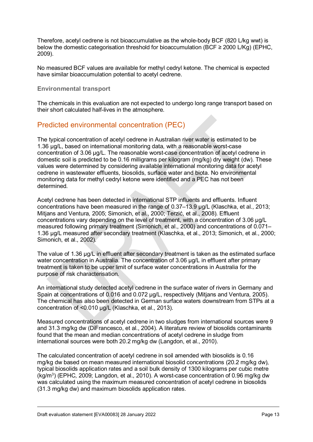Therefore, acetyl cedrene is not bioaccumulative as the whole-body BCF (820 L/kg wwt) is below the domestic categorisation threshold for bioaccumulation (BCF  $\geq$  2000 L/Kg) (EPHC, [2009\)](#page-17-11).

No measured BCF values are available for methyl cedryl ketone. The chemical is expected have similar bioaccumulation potential to acetyl cedrene.

#### **Environmental transport**

The chemicals in this evaluation are not expected to undergo long range transport based on their short calculated half-lives in the atmosphere.

#### Predicted environmental concentration (PEC)

The typical concentration of acetyl cedrene in Australian river water is estimated to be 1.36 µg/L, based on international monitoring data, with a reasonable worst-case concentration of 3.06 µg/L. The reasonable worst-case concentration of acetyl cedrene in domestic soil is predicted to be 0.16 milligrams per kilogram (mg/kg) dry weight (dw). These values were determined by considering available international monitoring data for acetyl cedrene in wastewater effluents, biosolids, surface water and biota. No environmental monitoring data for methyl cedryl ketone were identified and a PEC has not been determined.

Acetyl cedrene has been detected in international STP influents and effluents. Influent concentrations have been measured in the range of 0.37–13.9 µg/L [\(Klaschka, et al., 2013;](#page-18-7) [Mitjans and Ventura, 2005;](#page-18-8) [Simonich, et al., 2000;](#page-18-9) [Terzić, et al., 2008](#page-19-11)). Effluent concentrations vary depending on the level of treatment, with a concentration of 3.06 µg/L measured following primary treatment [\(Simonich, et al., 2000\)](#page-18-9) and concentrations of 0.071– 1.36 µg/L measured after secondary treatment [\(Klaschka, et al., 2013;](#page-18-7) [Simonich, et al., 2000;](#page-18-9) [Simonich, et al., 2002\)](#page-19-12).

The value of 1.36 µg/L in effluent after secondary treatment is taken as the estimated surface water concentration in Australia. The concentration of 3.06 µg/L in effluent after primary treatment is taken to be upper limit of surface water concentrations in Australia for the purpose of risk characterisation.

An international study detected acetyl cedrene in the surface water of rivers in Germany and Spain at concentrations of 0.016 and 0.072 ug/L, respectively [\(Mitjans and Ventura, 2005\)](#page-18-8). The chemical has also been detected in German surface waters downstream from STPs at a concentration of <0.010 µg/L [\(Klaschka, et al., 2013\)](#page-18-7).

Measured concentrations of acetyl cedrene in two sludges from international sources were 9 and 31.3 mg/kg dw [\(DiFrancesco, et al., 2004\)](#page-17-12). A literature review of biosolids contaminants found that the mean and median concentrations of acetyl cedrene in sludge from international sources were both 20.2 mg/kg dw [\(Langdon, et al., 2010\)](#page-18-10).

The calculated concentration of acetyl cedrene in soil amended with biosolids is 0.16 mg/kg dw based on mean measured international biosolid concentrations (20.2 mg/kg dw), typical biosolids application rates and a soil bulk density of 1300 kilograms per cubic metre (kg/m<sup>3</sup>) [\(EPHC, 2009;](#page-17-11) [Langdon, et al., 2010\)](#page-18-10). A worst-case concentration of 0.96 mg/kg dw was calculated using the maximum measured concentration of acetyl cedrene in biosolids (31.3 mg/kg dw) and maximum biosolids application rates.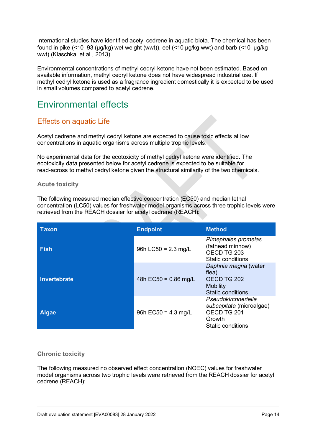International studies have identified acetyl cedrene in aquatic biota. The chemical has been found in pike (<10–93 (µg/kg) wet weight (wwt)), eel (<10 µg/kg wwt) and barb (<10 µg/kg wwt) [\(Klaschka, et al., 2013\)](#page-18-7).

Environmental concentrations of methyl cedryl ketone have not been estimated. Based on available information, methyl cedryl ketone does not have widespread industrial use. If methyl cedryl ketone is used as a fragrance ingredient domestically it is expected to be used in small volumes compared to acetyl cedrene.

# <span id="page-13-0"></span>Environmental effects

### Effects on aquatic Life

Acetyl cedrene and methyl cedryl ketone are expected to cause toxic effects at low concentrations in aquatic organisms across multiple trophic levels.

No experimental data for the ecotoxicity of methyl cedryl ketone were identified. The ecotoxicity data presented below for acetyl cedrene is expected to be suitable for read-across to methyl cedryl ketone given the structural similarity of the two chemicals.

#### **Acute toxicity**

The following measured median effective concentration (EC50) and median lethal concentration (LC50) values for freshwater model organisms across three trophic levels were retrieved from the REACH dossier for acetyl cedrene [\(REACH\)](#page-18-5):

| <b>Taxon</b> | <b>Endpoint</b>               | <b>Method</b>                                                                                 |
|--------------|-------------------------------|-----------------------------------------------------------------------------------------------|
| <b>Fish</b>  | 96h LC50 = $2.3 \text{ mg/L}$ | Pimephales promelas<br>(fathead minnow)<br>OECD TG 203<br>Static conditions                   |
| Invertebrate | 48h EC50 = $0.86$ mg/L        | Daphnia magna (water<br>flea)<br>OECD TG 202<br><b>Mobility</b><br>Static conditions          |
| <b>Algae</b> | 96h $EC50 = 4.3$ mg/L         | Pseudokirchneriella<br>subcapitata (microalgae)<br>OECD TG 201<br>Growth<br>Static conditions |

#### **Chronic toxicity**

The following measured no observed effect concentration (NOEC) values for freshwater model organisms across two trophic levels were retrieved from the REACH dossier for acetyl cedrene [\(REACH\)](#page-18-5):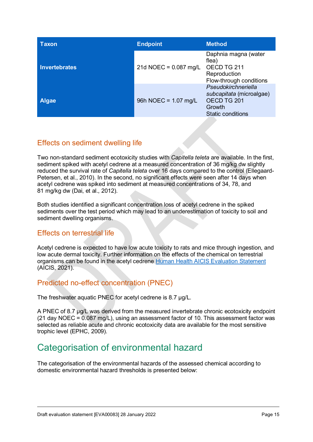| <b>Taxon</b>         | <b>Endpoint</b>         | <b>Method</b>                                                                                        |
|----------------------|-------------------------|------------------------------------------------------------------------------------------------------|
| <b>Invertebrates</b> | 21d NOEC = $0.087$ mg/L | Daphnia magna (water<br>flea)<br>OECD TG 211<br>Reproduction<br>Flow-through conditions              |
| <b>Algae</b>         | 96h NOEC = $1.07$ mg/L  | Pseudokirchneriella<br>subcapitata (microalgae)<br>OECD TG 201<br>Growth<br><b>Static conditions</b> |

### Effects on sediment dwelling life

Two non-standard sediment ecotoxicity studies with *Capitella teleta* are available. In the first, sediment spiked with acetyl cedrene at a measured concentration of 36 mg/kg dw slightly reduced the survival rate of *Capitella teleta* over 16 days compared to the control [\(Ellegaard-](#page-17-13)[Petersen, et al., 2010\)](#page-17-13). In the second, no significant effects were seen after 14 days when acetyl cedrene was spiked into sediment at measured concentrations of 34, 78, and 81 mg/kg dw [\(Dai, et al., 2012\)](#page-17-14).

Both studies identified a significant concentration loss of acetyl cedrene in the spiked sediments over the test period which may lead to an underestimation of toxicity to soil and sediment dwelling organisms.

#### Effects on terrestrial life

Acetyl cedrene is expected to have low acute toxicity to rats and mice through ingestion, and low acute dermal toxicity. Further information on the effects of the chemical on terrestrial organisms can be found in the acetyl cedrene [Human Health AICIS Evaluation](https://www.industrialchemicals.gov.au/sites/default/files/2021-09/EVA00034%20-%20Evaluation%20Statement%20-%2014%20September%202021%20%5B640%20KB%5D.pdf) Statement [\(AICIS, 2021\)](#page-17-15).

### Predicted no-effect concentration (PNEC)

The freshwater aquatic PNEC for acetyl cedrene is 8.7 µg/L.

A PNEC of 8.7 µg/L was derived from the measured invertebrate chronic ecotoxicity endpoint (21 day NOEC = 0.087 mg/L), using an assessment factor of 10. This assessment factor was selected as reliable acute and chronic ecotoxicity data are available for the most sensitive trophic level [\(EPHC, 2009\)](#page-17-11).

# <span id="page-14-0"></span>Categorisation of environmental hazard

The categorisation of the environmental hazards of the assessed chemical according to domestic environmental hazard thresholds is presented below: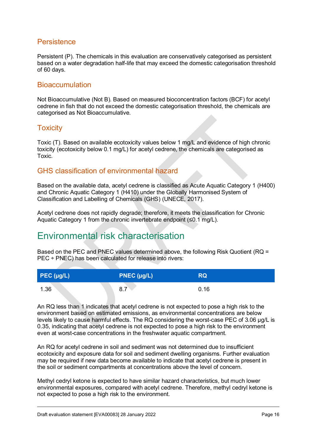#### **Persistence**

Persistent (P). The chemicals in this evaluation are conservatively categorised as persistent based on a water degradation half-life that may exceed the domestic categorisation threshold of 60 days.

#### **Bioaccumulation**

Not Bioaccumulative (Not B). Based on measured bioconcentration factors (BCF) for acetyl cedrene in fish that do not exceed the domestic categorisation threshold, the chemicals are categorised as Not Bioaccumulative.

#### **Toxicity**

Toxic (T). Based on available ecotoxicity values below 1 mg/L and evidence of high chronic toxicity (ecotoxicity below 0.1 mg/L) for acetyl cedrene, the chemicals are categorised as Toxic.

### GHS classification of environmental hazard

Based on the available data, acetyl cedrene is classified as Acute Aquatic Category 1 (H400) and Chronic Aquatic Category 1 (H410) under the Globally Harmonised System of Classification and Labelling of Chemicals (GHS) [\(UNECE, 2017\)](#page-19-0).

Acetyl cedrene does not rapidly degrade; therefore, it meets the classification for Chronic Aquatic Category 1 from the chronic invertebrate endpoint (≤0.1 mg/L).

# <span id="page-15-0"></span>Environmental risk characterisation

Based on the PEC and PNEC values determined above, the following Risk Quotient (RQ = PEC ÷ PNEC) has been calculated for release into rivers:

| $\vert$ PEC (µg/L) | PNEC $(\mu g/L)$ | RQ   |
|--------------------|------------------|------|
| 1.36               | 8.7              | 0.16 |

An RQ less than 1 indicates that acetyl cedrene is not expected to pose a high risk to the environment based on estimated emissions, as environmental concentrations are below levels likely to cause harmful effects. The RQ considering the worst-case PEC of 3.06 µg/L is 0.35, indicating that acetyl cedrene is not expected to pose a high risk to the environment even at worst-case concentrations in the freshwater aquatic compartment.

An RQ for acetyl cedrene in soil and sediment was not determined due to insufficient ecotoxicity and exposure data for soil and sediment dwelling organisms. Further evaluation may be required if new data become available to indicate that acetyl cedrene is present in the soil or sediment compartments at concentrations above the level of concern.

Methyl cedryl ketone is expected to have similar hazard characteristics, but much lower environmental exposures, compared with acetyl cedrene. Therefore, methyl cedryl ketone is not expected to pose a high risk to the environment.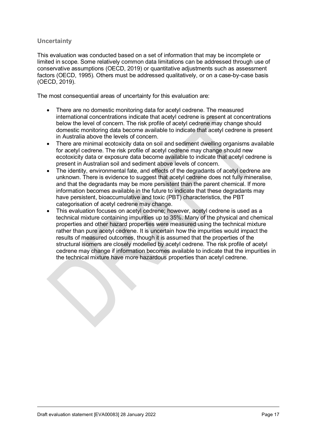#### **Uncertainty**

This evaluation was conducted based on a set of information that may be incomplete or limited in scope. Some relatively common data limitations can be addressed through use of conservative assumptions [\(OECD, 2019\)](#page-18-11) or quantitative adjustments such as assessment factors [\(OECD, 1995\)](#page-18-12). Others must be addressed qualitatively, or on a case-by-case basis [\(OECD, 2019\)](#page-18-11).

The most consequential areas of uncertainty for this evaluation are:

- There are no domestic monitoring data for acetyl cedrene. The measured international concentrations indicate that acetyl cedrene is present at concentrations below the level of concern. The risk profile of acetyl cedrene may change should domestic monitoring data become available to indicate that acetyl cedrene is present in Australia above the levels of concern.
- There are minimal ecotoxicity data on soil and sediment dwelling organisms available for acetyl cedrene. The risk profile of acetyl cedrene may change should new ecotoxicity data or exposure data become available to indicate that acetyl cedrene is present in Australian soil and sediment above levels of concern.
- The identity, environmental fate, and effects of the degradants of acetyl cedrene are unknown. There is evidence to suggest that acetyl cedrene does not fully mineralise, and that the degradants may be more persistent than the parent chemical. If more information becomes available in the future to indicate that these degradants may have persistent, bioaccumulative and toxic (PBT) characteristics, the PBT categorisation of acetyl cedrene may change.
- This evaluation focuses on acetyl cedrene; however, acetyl cedrene is used as a technical mixture containing impurities up to 35%. Many of the physical and chemical properties and other hazard properties were measured using the technical mixture rather than pure acetyl cedrene. It is uncertain how the impurities would impact the results of measured outcomes, though it is assumed that the properties of the structural isomers are closely modelled by acetyl cedrene. The risk profile of acetyl cedrene may change if information becomes available to indicate that the impurities in the technical mixture have more hazardous properties than acetyl cedrene.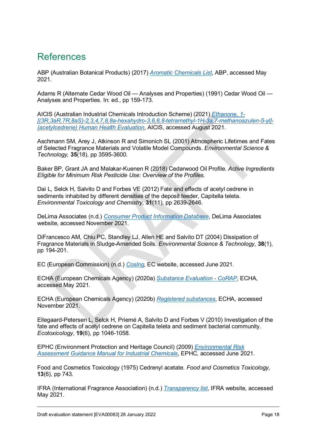# <span id="page-17-0"></span>References

<span id="page-17-3"></span>ABP (Australian Botanical Products) (2017) *[Aromatic Chemicals List](http://www.abp.com.au/files/Aroma%20Chem%20List%20Brochure.pdf)*, ABP, accessed May 2021.

<span id="page-17-1"></span>Adams R (Alternate Cedar Wood Oil — Analyses and Properties) (1991) Cedar Wood Oil — Analyses and Properties. In: ed., pp 159-173.

<span id="page-17-15"></span>AICIS (Australian Industrial Chemicals Introduction Scheme) (2021) *[Ethanone, 1-](https://www.industrialchemicals.gov.au/sites/default/files/2021-09/EVA00034%20-%20Evaluation%20Statement%20-%2014%20September%202021%20%5B640%20KB%5D.pdf) [\[\(3R,3aR,7R,8aS\)-2,3,4,7,8,8a-hexahydro-3,6,8,8-tetramethyl-1H-3a,7-methanoazulen-5-yl\]-](https://www.industrialchemicals.gov.au/sites/default/files/2021-09/EVA00034%20-%20Evaluation%20Statement%20-%2014%20September%202021%20%5B640%20KB%5D.pdf)  [\(acetylcedrene\) Human Health Evaluation](https://www.industrialchemicals.gov.au/sites/default/files/2021-09/EVA00034%20-%20Evaluation%20Statement%20-%2014%20September%202021%20%5B640%20KB%5D.pdf)*, AICIS, accessed August 2021.

<span id="page-17-10"></span>Aschmann SM, Arey J, Atkinson R and Simonich SL (2001) Atmospheric Lifetimes and Fates of Selected Fragrance Materials and Volatile Model Compounds. *Environmental Science & Technology,* **35**(18), pp 3595-3600.

<span id="page-17-2"></span>Baker BP, Grant JA and Malakar-Kuenen R (2018) Cedarwood Oil Profile. *Active Ingredients Eligible for Minimum Risk Pesticide Use: Overview of the Profiles*.

<span id="page-17-14"></span>Dai L, Selck H, Salvito D and Forbes VE (2012) Fate and effects of acetyl cedrene in sediments inhabited by different densities of the deposit feeder, Capitella teleta. *Environmental Toxicology and Chemistry,* **31**(11), pp 2639-2646.

<span id="page-17-7"></span>DeLima Associates (n.d.) *[Consumer Product Information Database](https://www.whatsinproducts.com/chemicals/view/1/5483/032388-55-9/Acetylcedrene)*, DeLima Associates website, accessed November 2021.

<span id="page-17-12"></span>DiFrancesco AM, Chiu PC, Standley LJ, Allen HE and Salvito DT (2004) Dissipation of Fragrance Materials in Sludge-Amended Soils. *Environmental Science & Technology,* **38**(1), pp 194-201.

<span id="page-17-5"></span>EC (European Commission) (n.d.) *[Coslng](http://ec.europa.eu/growth/sectors/cosmetics/cosing/)*, EC website, accessed June 2021.

<span id="page-17-9"></span>ECHA (European Chemicals Agency) (2020a) *[Substance Evaluation - CoRAP](https://echa.europa.eu/information-on-chemicals/evaluation/community-rolling-action-plan/corap-table)*, ECHA, accessed May 2021.

<span id="page-17-8"></span>ECHA (European Chemicals Agency) (2020b) *[Registered substances](https://echa.europa.eu/information-on-chemicals/registered-substances)*, ECHA, accessed November 2021.

<span id="page-17-13"></span>Ellegaard-Petersen L, Selck H, Priemé A, Salvito D and Forbes V (2010) Investigation of the fate and effects of acetyl cedrene on Capitella teleta and sediment bacterial community. *Ecotoxicology,* **19**(6), pp 1046-1058.

<span id="page-17-11"></span>EPHC (Environment Protection and Heritage Council) (2009) *[Environmental Risk](http://www.nepc.gov.au/resource/chemical-risk-assessment-guidance-manuals)  [Assessment Guidance Manual for Industrial Chemicals](http://www.nepc.gov.au/resource/chemical-risk-assessment-guidance-manuals)*, EPHC, accessed June 2021.

<span id="page-17-6"></span>Food and Cosmetics Toxicology (1975) Cedrenyl acetate. *Food and Cosmetics Toxicology,* **13**(6), pp 743.

<span id="page-17-4"></span>IFRA (International Fragrance Association) (n.d.) *[Transparency list](https://ifrafragrance.org/initiatives/transparency/ifra-transparency-list)*, IFRA website, accessed May 2021.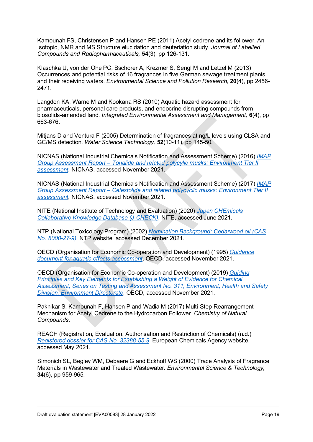<span id="page-18-3"></span>Kamounah FS, Christensen P and Hansen PE (2011) Acetyl cedrene and its follower. An Isotopic, NMR and MS Structure elucidation and deuteriation study. *Journal of Labelled Compounds and Radiopharmaceuticals,* **54**(3), pp 126-131.

<span id="page-18-7"></span>Klaschka U, von der Ohe PC, Bschorer A, Krezmer S, Sengl M and Letzel M (2013) Occurrences and potential risks of 16 fragrances in five German sewage treatment plants and their receiving waters. *Environmental Science and Pollution Research,* **20**(4), pp 2456- 2471.

<span id="page-18-10"></span>Langdon KA, Warne M and Kookana RS (2010) Aquatic hazard assessment for pharmaceuticals, personal care products, and endocrine-disrupting compounds from biosolids-amended land. *Integrated Environmental Assessment and Management,* **6**(4), pp 663-676.

<span id="page-18-8"></span>Mitjans D and Ventura F (2005) Determination of fragrances at ng/L levels using CLSA and GC/MS detection. *Water Science Technology,* **52**(10-11), pp 145-50.

<span id="page-18-0"></span>NICNAS (National Industrial Chemicals Notification and Assessment Scheme) (2016) *[IMAP](https://www.industrialchemicals.gov.au/sites/default/files/Tonalide%20and%20related%20polycyclic%20musks_%20Environment%20tier%20II%20assessment.pdf)  Group Assessment Report – [Tonalide and related polycylic musks: Environment Tier II](https://www.industrialchemicals.gov.au/sites/default/files/Tonalide%20and%20related%20polycyclic%20musks_%20Environment%20tier%20II%20assessment.pdf)  [assessment](https://www.industrialchemicals.gov.au/sites/default/files/Tonalide%20and%20related%20polycyclic%20musks_%20Environment%20tier%20II%20assessment.pdf)*, NICNAS, accessed November 2021.

<span id="page-18-1"></span>NICNAS (National Industrial Chemicals Notification and Assessment Scheme) (2017) *[IMAP](https://www.industrialchemicals.gov.au/sites/default/files/Celestolide%20and%20related%20polycyclic%20musks_%20Environment%20tier%20II%20assessment.pdf)  Group Assessment Report – [Celestolide and related polycyclic musks: Environment](https://www.industrialchemicals.gov.au/sites/default/files/Celestolide%20and%20related%20polycyclic%20musks_%20Environment%20tier%20II%20assessment.pdf) Tier II [assessment](https://www.industrialchemicals.gov.au/sites/default/files/Celestolide%20and%20related%20polycyclic%20musks_%20Environment%20tier%20II%20assessment.pdf)*, NICNAS, accessed November 2021.

<span id="page-18-6"></span>NITE (National Institute of Technology and Evaluation) (2020) *[Japan CHEmicals](http://www.safe.nite.go.jp/jcheck/search.action?request_locale=en)  [Collaborative Knowledge Database \(J-CHECK\)](http://www.safe.nite.go.jp/jcheck/search.action?request_locale=en)*, NITE, accessed June 2021.

<span id="page-18-2"></span>NTP (National Toxicology Program) (2002) *[Nomination Background: Cedarwood oil \(CAS](https://ntp.niehs.nih.gov/ntp/htdocs/chem_background/exsumpdf/cedarwood_oil_508.pdf)  [No. 8000-27-9\)](https://ntp.niehs.nih.gov/ntp/htdocs/chem_background/exsumpdf/cedarwood_oil_508.pdf)*, NTP website, accessed December 2021.

<span id="page-18-12"></span>OECD (Organisation for Economic Co-operation and Development) (1995) *[Guidance](https://nla.gov.au/nla.cat-vn2222241)  [document for aquatic effects assessment](https://nla.gov.au/nla.cat-vn2222241)*, OECD, accessed November 2021.

<span id="page-18-11"></span>OECD (Organisation for Economic Co-operation and Development) (2019) *[Guiding](https://www.oecd.org/chemicalsafety/risk-assessment/guiding-principles-and-key-elements-for-establishing-a-weight-of-evidence-for-chemical-assessment.pdf)  [Principles and Key Elements for Establishing a Weight of Evidence for Chemical](https://www.oecd.org/chemicalsafety/risk-assessment/guiding-principles-and-key-elements-for-establishing-a-weight-of-evidence-for-chemical-assessment.pdf)  [Assessment, Series on Testing and Assessment No. 311, Environment, Health and Safety](https://www.oecd.org/chemicalsafety/risk-assessment/guiding-principles-and-key-elements-for-establishing-a-weight-of-evidence-for-chemical-assessment.pdf)  [Division, Environment Directorate](https://www.oecd.org/chemicalsafety/risk-assessment/guiding-principles-and-key-elements-for-establishing-a-weight-of-evidence-for-chemical-assessment.pdf)*, OECD, accessed November 2021.

<span id="page-18-4"></span>Paknikar S, Kamounah F, Hansen P and Wadia M (2017) Multi-Step Rearrangement Mechanism for Acetyl Cedrene to the Hydrocarbon Follower. *Chemistry of Natural Compounds*.

<span id="page-18-5"></span>REACH (Registration, Evaluation, Authorisation and Restriction of Chemicals) (n.d.) *[Registered dossier for CAS No. 32388-55-9](https://echa.europa.eu/registration-dossier/-/registered-dossier/12524)*, European Chemicals Agency website, accessed May 2021.

<span id="page-18-9"></span>Simonich SL, Begley WM, Debaere G and Eckhoff WS (2000) Trace Analysis of Fragrance Materials in Wastewater and Treated Wastewater. *Environmental Science & Technology,* **34**(6), pp 959-965.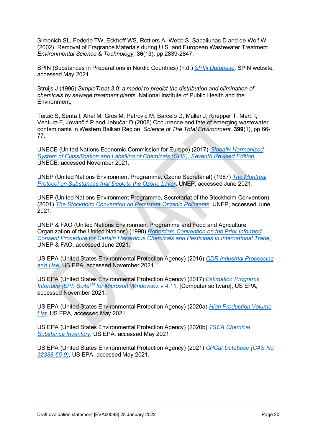<span id="page-19-12"></span>Simonich SL, Federle TW, Eckhoff WS, Rottiers A, Webb S, Sabaliunas D and de Wolf W (2002). Removal of Fragrance Materials during U.S. and European Wastewater Treatment. *Environmental Science & Technology,* **36**(13), pp 2839-2847.

<span id="page-19-4"></span>SPIN (Substances in Preparations in Nordic Countries) (n.d.) *[SPIN Database](http://www.spin2000.net/spinmyphp/)*, SPIN website, accessed May 2021.

<span id="page-19-10"></span>Struijs J (1996) *SimpleTreat 3.0: a model to predict the distribution and elimination of chemicals by sewage treatment plants*. National Institute of Public Health and the Environment,

<span id="page-19-11"></span>Terzić S, Senta I, Ahel M, Gros M, Petrović M, Barcelo D, Müller J, Knepper T, Martí I, Ventura F, Jovančić P and Jabučar D (2008) Occurrence and fate of emerging wastewater contaminants in Western Balkan Region. *Science of The Total Environment,* **399**(1), pp 66- 77.

<span id="page-19-0"></span>UNECE (United Nations Economic Commission for Europe) (2017) *[Globally Harmonized](http://www.unece.org/trans/danger/publi/ghs/ghs_rev07/07files_e0.html)  [System of Classification and Labelling of Chemicals \(GHS\), Seventh Revised Edition](http://www.unece.org/trans/danger/publi/ghs/ghs_rev07/07files_e0.html)*, UNECE, accessed November 2021.

<span id="page-19-8"></span>UNEP (United Nations Environment Programme, Ozone Secretariat) (1987) *[The Montreal](http://ozone.unep.org/) [Protocol on Substances that Deplete the Ozone Layer](http://ozone.unep.org/)*, UNEP, accessed June 2021.

<span id="page-19-7"></span>UNEP (United Nations Environment Programme, Secretariat of the Stockholm Convention) (2001) *[The Stockholm Convention on Persistent Organic Pollutants](http://www.pops.int/)*, UNEP, accessed June 2021.

<span id="page-19-9"></span>UNEP & FAO (United Nations Environment Programme and Food and Agriculture Organization of the United Nations) (1998) *[Rotterdam Convention on the Prior Informed](http://www.pic.int/)  [Consent Procedure for Certain Hazardous Chemicals and Pesticides in International Trade](http://www.pic.int/)*, UNEP & FAO, accessed June 2021.

<span id="page-19-3"></span>US EPA (United States Environmental Protection Agency) (2016) *[CDR Industrial Processing](https://www.epa.gov/chemical-data-reporting/access-cdr-data)  [and Use](https://www.epa.gov/chemical-data-reporting/access-cdr-data)*, US EPA, accessed November 2021.

<span id="page-19-1"></span>US EPA (United States Environmental Protection Agency) (2017) *[Estimation Programs](https://www.epa.gov/tsca-screening-tools/epi-suitetm-estimation-program-interface)  [Interface \(EPI\) SuiteTM](https://www.epa.gov/tsca-screening-tools/epi-suitetm-estimation-program-interface) for Microsoft Windows®*, v 4.11, [Computer software], US EPA, accessed November 2021.

<span id="page-19-2"></span>US EPA (United States Environmental Protection Agency) (2020a) *[High Production Volume](https://comptox.epa.gov/dashboard/chemical_lists/EPAHPV)  [List](https://comptox.epa.gov/dashboard/chemical_lists/EPAHPV)*, US EPA, accessed May 2021.

<span id="page-19-6"></span>US EPA (United States Environmental Protection Agency) (2020b) *[TSCA Chemical](https://www.epa.gov/tsca-inventory)  [Substance Inventory](https://www.epa.gov/tsca-inventory)*, US EPA, accessed May 2021.

<span id="page-19-5"></span>US EPA (United States Environmental Protection Agency) (2021) *[CPCat Database \(CAS No.](https://actor.epa.gov/cpcat/faces/search.xhtml)  [32388-55-9\)](https://actor.epa.gov/cpcat/faces/search.xhtml)*, US EPA, accessed May 2021.